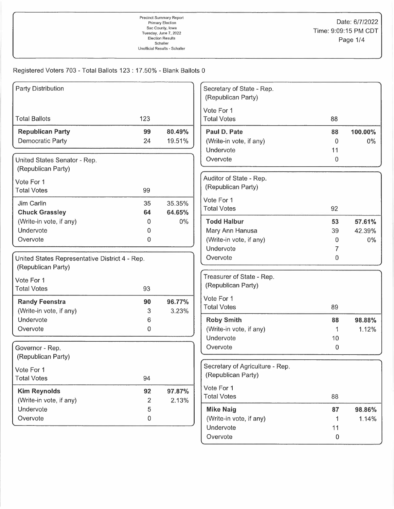| <b>Party Distribution</b>                      |                         |        | Secretary of State - Rep.<br>(Republican Party) |           |         |
|------------------------------------------------|-------------------------|--------|-------------------------------------------------|-----------|---------|
|                                                |                         |        | Vote For 1                                      |           |         |
| <b>Total Ballots</b>                           | 123                     |        | <b>Total Votes</b>                              | 88        |         |
| <b>Republican Party</b>                        | 99                      | 80.49% | Paul D. Pate                                    | 88        | 100.00% |
| <b>Democratic Party</b>                        | 24                      | 19.51% | (Write-in vote, if any)                         | 0         | 0%      |
|                                                |                         |        | Undervote                                       | 11        |         |
| United States Senator - Rep.                   |                         |        | Overvote                                        | 0         |         |
| (Republican Party)                             |                         |        |                                                 |           |         |
| Vote For 1                                     |                         |        | Auditor of State - Rep.                         |           |         |
| <b>Total Votes</b>                             | 99                      |        | (Republican Party)                              |           |         |
| Jim Carlin                                     | 35                      | 35.35% | Vote For 1                                      |           |         |
| <b>Chuck Grassley</b>                          | 64                      | 64.65% | <b>Total Votes</b>                              | 92        |         |
| (Write-in vote, if any)                        | 0                       | $0\%$  | <b>Todd Halbur</b>                              | 53        | 57.61%  |
| Undervote                                      | 0                       |        | Mary Ann Hanusa                                 | 39        | 42.39%  |
| Overvote                                       | 0                       |        | (Write-in vote, if any)                         | 0         | $0\%$   |
|                                                |                         |        | Undervote                                       | 7         |         |
| United States Representative District 4 - Rep. |                         |        | Overvote                                        | 0         |         |
| (Republican Party)                             |                         |        |                                                 |           |         |
| Vote For 1                                     |                         |        | Treasurer of State - Rep.                       |           |         |
| <b>Total Votes</b>                             | 93                      |        | (Republican Party)                              |           |         |
| <b>Randy Feenstra</b>                          | 90                      | 96.77% | Vote For 1                                      |           |         |
| (Write-in vote, if any)                        | 3                       | 3.23%  | <b>Total Votes</b>                              | 89        |         |
| Undervote                                      | 6                       |        | <b>Roby Smith</b>                               | 88        | 98.88%  |
| Overvote                                       | 0                       |        | (Write-in vote, if any)                         | 1         | 1.12%   |
|                                                |                         |        | Undervote                                       | 10        |         |
| Governor - Rep.                                |                         |        | Overvote                                        | 0         |         |
| (Republican Party)                             |                         |        |                                                 |           |         |
| Vote For 1                                     |                         |        | Secretary of Agriculture - Rep.                 |           |         |
| <b>Total Votes</b>                             | 94                      |        | (Republican Party)                              |           |         |
| <b>Kim Reynolds</b>                            | 92                      | 97.87% | Vote For 1                                      |           |         |
| (Write-in vote, if any)                        | $\overline{\mathbf{c}}$ | 2.13%  | <b>Total Votes</b>                              | 88        |         |
| Undervote                                      | 5                       |        | <b>Mike Naig</b>                                | 87        | 98.86%  |
| Overvote                                       | $\mathbf 0$             |        | (Write-in vote, if any)                         | 1         | 1.14%   |
|                                                |                         |        | Undervote                                       | 11        |         |
|                                                |                         |        | Overvote                                        | $\pmb{0}$ |         |
|                                                |                         |        |                                                 |           |         |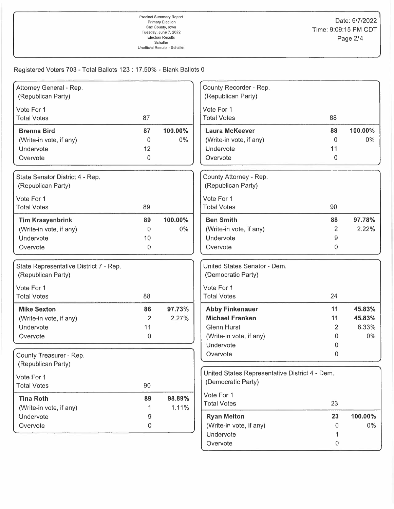| Attorney General - Rep.<br>(Republican Party)                               |                                 |                  | County Recorder - Rep.<br>(Republican Party)                                                                   |                                          |                                    |
|-----------------------------------------------------------------------------|---------------------------------|------------------|----------------------------------------------------------------------------------------------------------------|------------------------------------------|------------------------------------|
| Vote For 1<br><b>Total Votes</b>                                            | 87                              |                  | Vote For 1<br><b>Total Votes</b>                                                                               | 88                                       |                                    |
| <b>Brenna Bird</b><br>(Write-in vote, if any)<br>Undervote<br>Overvote      | 87<br>$\mathbf 0$<br>12<br>0    | 100.00%<br>$0\%$ | <b>Laura McKeever</b><br>(Write-in vote, if any)<br>Undervote<br>Overvote                                      | 88<br>$\overline{0}$<br>11<br>0          | 100.00%<br>$0\%$                   |
| State Senator District 4 - Rep.<br>(Republican Party)                       |                                 |                  | County Attorney - Rep.<br>(Republican Party)                                                                   |                                          |                                    |
| Vote For 1<br><b>Total Votes</b>                                            | 89                              |                  | Vote For 1<br><b>Total Votes</b>                                                                               | 90                                       |                                    |
| <b>Tim Kraayenbrink</b><br>(Write-in vote, if any)<br>Undervote<br>Overvote | 89<br>$\Omega$<br>10<br>0       | 100.00%<br>$0\%$ | <b>Ben Smith</b><br>(Write-in vote, if any)<br>Undervote<br>Overvote                                           | 88<br>$\overline{2}$<br>9<br>$\mathbf 0$ | 97.78%<br>2.22%                    |
| State Representative District 7 - Rep.<br>(Republican Party)                |                                 |                  | United States Senator - Dem.<br>(Democratic Party)                                                             |                                          |                                    |
| Vote For 1<br><b>Total Votes</b>                                            | 88                              |                  | Vote For 1<br><b>Total Votes</b>                                                                               | 24                                       |                                    |
| <b>Mike Sexton</b><br>(Write-in vote, if any)<br>Undervote<br>Overvote      | 86<br>$\overline{2}$<br>11<br>0 | 97.73%<br>2.27%  | <b>Abby Finkenauer</b><br><b>Michael Franken</b><br><b>Glenn Hurst</b><br>(Write-in vote, if any)<br>Undervote | 11<br>11<br>2<br>0<br>0                  | 45.83%<br>45.83%<br>8.33%<br>$0\%$ |
| County Treasurer - Rep.<br>(Republican Party)                               |                                 |                  | Overvote                                                                                                       | 0                                        |                                    |
| Vote For 1<br><b>Total Votes</b>                                            | 90                              |                  | United States Representative District 4 - Dem.<br>(Democratic Party)                                           |                                          |                                    |
| <b>Tina Roth</b><br>(Write-in vote, if any)                                 | 89                              | 98.89%<br>1.11%  | Vote For 1<br><b>Total Votes</b>                                                                               | 23                                       |                                    |
| Undervote<br>Overvote                                                       | 9<br>0                          |                  | <b>Ryan Melton</b><br>(Write-in vote, if any)<br>Undervote<br>Overvote                                         | 23<br>0<br>1<br>$\boldsymbol{0}$         | 100.00%<br>$0\%$                   |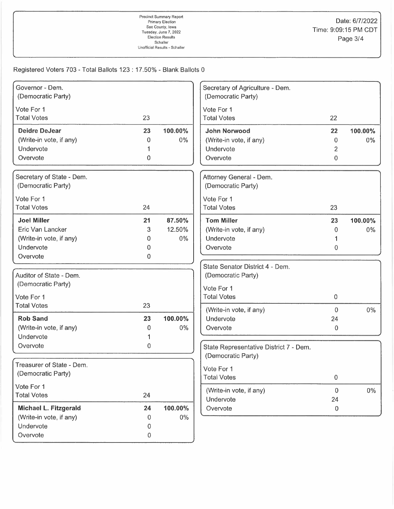| Governor - Dem.<br>(Democratic Party) |         |         | Secretary of Agriculture - Dem.<br>(Democratic Party) |                |         |
|---------------------------------------|---------|---------|-------------------------------------------------------|----------------|---------|
|                                       |         |         |                                                       |                |         |
| Vote For 1                            |         |         | Vote For 1                                            |                |         |
| <b>Total Votes</b>                    | 23      |         | <b>Total Votes</b>                                    | 22             |         |
| <b>Deidre DeJear</b>                  | 23      | 100.00% | <b>John Norwood</b>                                   | 22             | 100.00% |
| (Write-in vote, if any)               | 0       | $0\%$   | (Write-in vote, if any)                               | 0              | $0\%$   |
| Undervote                             |         |         | Undervote                                             | 2              |         |
| Overvote                              | 0       |         | Overvote                                              | 0              |         |
| Secretary of State - Dem.             |         |         | Attorney General - Dem.                               |                |         |
| (Democratic Party)                    |         |         | (Democratic Party)                                    |                |         |
| Vote For 1                            |         |         | Vote For 1                                            |                |         |
| <b>Total Votes</b>                    | 24      |         | <b>Total Votes</b>                                    | 23             |         |
| <b>Joel Miller</b>                    | 21      | 87.50%  | <b>Tom Miller</b>                                     | 23             | 100.00% |
| Eric Van Lancker                      | 3       | 12.50%  | (Write-in vote, if any)                               | 0              | $0\%$   |
| (Write-in vote, if any)               | 0       | $0\%$   | Undervote                                             | 1              |         |
| Undervote                             | 0       |         | Overvote                                              | 0              |         |
| Overvote                              | 0       |         |                                                       |                |         |
|                                       |         |         | State Senator District 4 - Dem.                       |                |         |
| Auditor of State - Dem.               |         |         | (Democratic Party)                                    |                |         |
| (Democratic Party)                    |         |         | Vote For 1                                            |                |         |
| Vote For 1                            |         |         | <b>Total Votes</b>                                    | $\mathbf{0}$   |         |
| <b>Total Votes</b>                    | 23      |         |                                                       |                |         |
|                                       |         |         | (Write-in vote, if any)                               | $\Omega$       | $0\%$   |
| <b>Rob Sand</b>                       | 23      | 100.00% | Undervote                                             | 24             |         |
| (Write-in vote, if any)               | 0       | 0%      | Overvote                                              | 0              |         |
| Undervote                             | 1       |         |                                                       |                |         |
| Overvote                              | 0       |         | State Representative District 7 - Dem.                |                |         |
|                                       |         |         | (Democratic Party)                                    |                |         |
| Treasurer of State - Dem.             |         |         | Vote For 1                                            |                |         |
| (Democratic Party)                    |         |         | <b>Total Votes</b>                                    | $\pmb{0}$      |         |
| Vote For 1                            |         |         | (Write-in vote, if any)                               | $\overline{0}$ | $0\%$   |
| <b>Total Votes</b>                    | 24      |         | Undervote                                             | 24             |         |
| Michael L. Fitzgerald                 | 24      | 100.00% | Overvote                                              | 0              |         |
| (Write-in vote, if any)               | 0       | $0\%$   |                                                       |                |         |
| Undervote                             | 0       |         |                                                       |                |         |
| Overvote                              | $\,0\,$ |         |                                                       |                |         |
|                                       |         |         |                                                       |                |         |